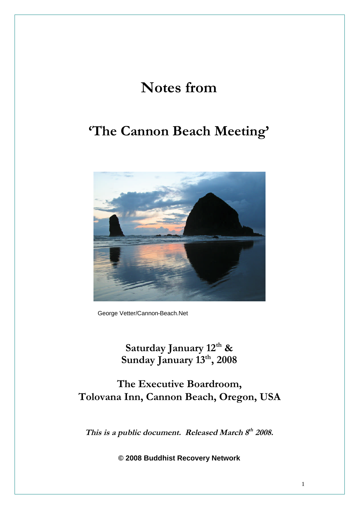# **Notes from**

## **'The Cannon Beach Meeting'**



George Vetter/Cannon-Beach.Net

**Saturday January 12th & Sunday January 13th, 2008**

**The Executive Boardroom, Tolovana Inn, Cannon Beach, Oregon, USA**

**This is <sup>a</sup> public document. Released March <sup>8</sup> th 2008.**

**© 2008 Buddhist Recovery Network**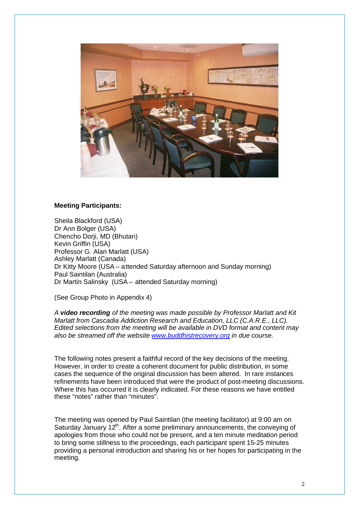

#### **Meeting Participants:**

Sheila Blackford (USA) Dr Ann Bolger (USA) Chencho Dorii, MD (Bhutan) Kevin Griffin (USA) Professor G. Alan Marlatt (USA) Ashley Marlatt (Canada) Dr Kitty Moore (USA – attended Saturday afternoon and Sunday morning) Paul Saintilan (Australia) Dr Martin Salinsky (USA – attended Saturday morning)

(See Group Photo in Appendix 4)

*A video recording of the meeting was made possible by Professor Marlatt and Kit Marlatt from Cascadia Addiction Research and Education, LLC (C.A.R.E., LLC). Edited selections from the meeting will be available in DVD format and content may also be streamed off the website www.buddhistrecovery.org in due course.*

The following notes present a faithful record of the key decisions of the meeting. However, in order to create a coherent document for public distribution, in some cases the sequence of the original discussion has been altered. In rare instances refinements have been introduced that were the product of post-meeting discussions. Where this has occurred it is clearly indicated. For these reasons we have entitled these "notes" rather than "minutes".

The meeting was opened by Paul Saintilan (the meeting facilitator) at 9:00 am on Saturday January 12<sup>th</sup>. After a some preliminary announcements, the conveying of apologies from those who could not be present, and a ten minute meditation period to bring some stillness to the proceedings, each participant spent 15-25 minutes providing a personal introduction and sharing his or her hopes for participating in the meeting.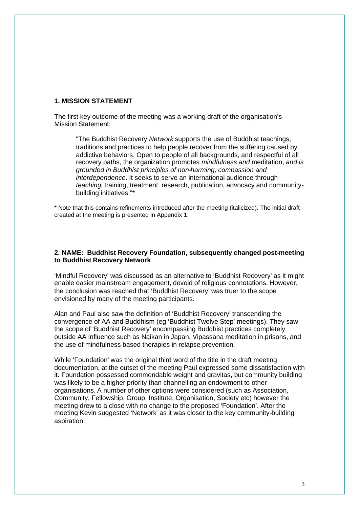#### **1. MISSION STATEMENT**

The first key outcome of the meeting was a working draft of the organisation's Mission Statement:

"The Buddhist Recovery *Network* supports the use of Buddhist teachings, traditions and practices to help people recover from the suffering caused by addictive behaviors. Open to people of all backgrounds, and respectful of all recovery paths, the organization promotes *mindfulness and* meditation, *and is grounded in Buddhist principles of non-harming, compassion and interdependence*. It seeks to serve an international audience through *teaching*, training, treatment, research, publication, advocacy and communitybuilding initiatives."\*

\* Note that this contains refinements introduced after the meeting (italicized). The initial draft created at the meeting is presented in Appendix 1.

#### **2. NAME: Buddhist Recovery Foundation, subsequently changed post-meeting to Buddhist Recovery Network**

'Mindful Recovery' was discussed as an alternative to 'Buddhist Recovery' as it might enable easier mainstream engagement, devoid of religious connotations. However, the conclusion was reached that 'Buddhist Recovery' was truer to the scope envisioned by many of the meeting participants.

Alan and Paul also saw the definition of 'Buddhist Recovery' transcending the convergence of AA and Buddhism (eg 'Buddhist Twelve Step' meetings). They saw the scope of 'Buddhist Recovery' encompassing Buddhist practices completely outside AA influence such as Naikan in Japan, Vipassana meditation in prisons, and the use of mindfulness based therapies in relapse prevention.

While 'Foundation' was the original third word of the title in the draft meeting documentation, at the outset of the meeting Paul expressed some dissatisfaction with it. Foundation possessed commendable weight and gravitas, but community building was likely to be a higher priority than channelling an endowment to other organisations. A number of other options were considered (such as Association, Community, Fellowship, Group, Institute, Organisation, Society etc) however the meeting drew to a close with no change to the proposed 'Foundation'. After the meeting Kevin suggested 'Network' as it was closer to the key community-building aspiration.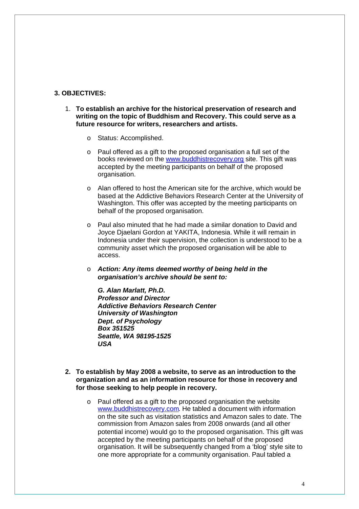#### **3. OBJECTIVES:**

- 1. **To establish an archive for the historical preservation of research and writing on the topic of Buddhism and Recovery. This could serve as a future resource for writers, researchers and artists.**
	- o Status: Accomplished.
	- o Paul offered as a gift to the proposed organisation a full set of the books reviewed on the www.buddhistrecovery.org site. This gift was accepted by the meeting participants on behalf of the proposed organisation.
	- o Alan offered to host the American site for the archive, which would be based at the Addictive Behaviors Research Center at the University of Washington. This offer was accepted by the meeting participants on behalf of the proposed organisation.
	- o Paul also minuted that he had made a similar donation to David and Joyce Djaelani Gordon at YAKITA, Indonesia. While it will remain in Indonesia under their supervision, the collection is understood to be a community asset which the proposed organisation will be able to access.
	- o *Action: Any items deemed worthy of being held in the organisation's archive should be sent to:*

*G. Alan Marlatt, Ph.D. Professor and Director Addictive Behaviors Research Center University of Washington Dept. of Psychology Box 351525 Seattle, WA 98195-1525 USA*

- **2. To establish by May 2008 a website, to serve as an introduction to the organization and as an information resource for those in recovery and for those seeking to help people in recovery.**
	- o Paul offered as a gift to the proposed organisation the website www.buddhistrecovery.com. He tabled a document with information on the site such as visitation statistics and Amazon sales to date. The commission from Amazon sales from 2008 onwards (and all other potential income) would go to the proposed organisation. This gift was accepted by the meeting participants on behalf of the proposed organisation. It will be subsequently changed from a 'blog' style site to one more appropriate for a community organisation. Paul tabled a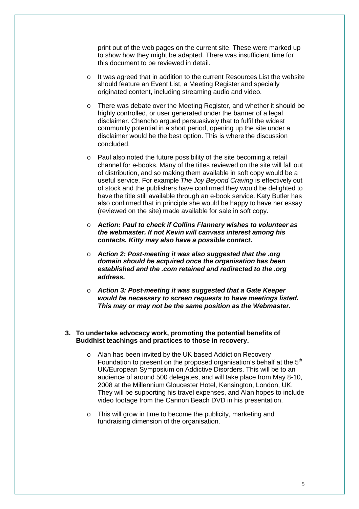print out of the web pages on the current site. These were marked up to show how they might be adapted. There was insufficient time for this document to be reviewed in detail.

- o It was agreed that in addition to the current Resources List the website should feature an Event List, a Meeting Register and specially originated content, including streaming audio and video.
- o There was debate over the Meeting Register, and whether it should be highly controlled, or user generated under the banner of a legal disclaimer. Chencho argued persuasively that to fulfil the widest community potential in a short period, opening up the site under a disclaimer would be the best option. This is where the discussion concluded.
- o Paul also noted the future possibility of the site becoming a retail channel for e-books. Many of the titles reviewed on the site will fall out of distribution, and so making them available in soft copy would be a useful service. For example *The Joy Beyond Craving* is effectively out of stock and the publishers have confirmed they would be delighted to have the title still available through an e-book service. Katy Butler has also confirmed that in principle she would be happy to have her essay (reviewed on the site) made available for sale in soft copy.
- o *Action: Paul to check if Collins Flannery wishes to volunteer as the webmaster. If not Kevin will canvass interest among his contacts. Kitty may also have a possible contact.*
- o *Action 2: Post-meeting it was also suggested that the .org domain should be acquired once the organisation has been established and the .com retained and redirected to the .org address.*
- o *Action 3: Post-meeting it was suggested that a Gate Keeper would be necessary to screen requests to have meetings listed. This may or may not be the same position as the Webmaster.*

#### **3. To undertake advocacy work, promoting the potential benefits of Buddhist teachings and practices to those in recovery.**

- o Alan has been invited by the UK based Addiction Recovery Foundation to present on the proposed organisation's behalf at the 5<sup>th</sup> UK/European Symposium on Addictive Disorders. This will be to an audience of around 500 delegates, and will take place from May 8-10, 2008 at the Millennium Gloucester Hotel, Kensington, London, UK. They will be supporting his travel expenses, and Alan hopes to include video footage from the Cannon Beach DVD in his presentation.
- o This will grow in time to become the publicity, marketing and fundraising dimension of the organisation.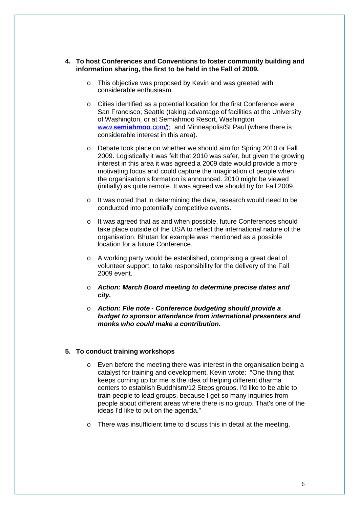- **4. To host Conferences and Conventions to foster community building and information sharing, the first to be held in the Fall of 2009.**
	- o This objective was proposed by Kevin and was greeted with considerable enthusiasm.
	- o Cities identified as a potential location for the first Conference were: San Francisco; Seattle (taking advantage of facilities at the University of Washington, or at Semiahmoo Resort, Washington www.**semiahmoo**.com/); and Minneapolis/St Paul (where there is considerable interest in this area).
	- o Debate took place on whether we should aim for Spring 2010 or Fall 2009. Logistically it was felt that 2010 was safer, but given the growing interest in this area it was agreed a 2009 date would provide a more motivating focus and could capture the imagination of people when the organisation's formation is announced. 2010 might be viewed (initially) as quite remote. It was agreed we should try for Fall 2009.
	- o It was noted that in determining the date, research would need to be conducted into potentially competitive events.
	- o It was agreed that as and when possible, future Conferences should take place outside of the USA to reflect the international nature of the organisation. Bhutan for example was mentioned as a possible location for a future Conference.
	- o A working party would be established, comprising a great deal of volunteer support, to take responsibility for the delivery of the Fall 2009 event.
	- o *Action: March Board meeting to determine precise dates and city.*
	- o *Action: File note - Conference budgeting should provide a budget to sponsor attendance from international presenters and monks who could make a contribution.*

#### **5. To conduct training workshops**

- o Even before the meeting there was interest in the organisation being a catalyst for training and development. Kevin wrote: "One thing that keeps coming up for me is the idea of helping different dharma centers to establish Buddhism/12 Steps groups. I'd like to be able to train people to lead groups, because I get so many inquiries from people about different areas where there is no group. That's one of the ideas I'd like to put on the agenda."
- o There was insufficient time to discuss this in detail at the meeting.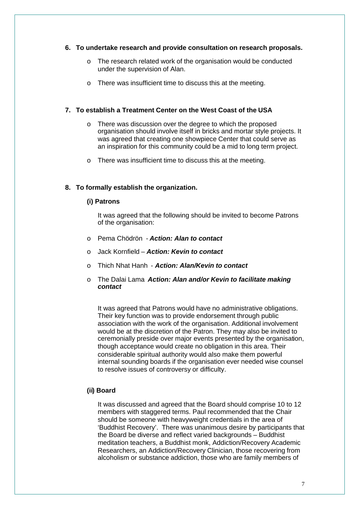#### **6. To undertake research and provide consultation on research proposals.**

- o The research related work of the organisation would be conducted under the supervision of Alan.
- o There was insufficient time to discuss this at the meeting.

#### **7. To establish a Treatment Center on the West Coast of the USA**

- o There was discussion over the degree to which the proposed organisation should involve itself in bricks and mortar style projects. It was agreed that creating one showpiece Center that could serve as an inspiration for this community could be a mid to long term project.
- o There was insufficient time to discuss this at the meeting.

#### **8. To formally establish the organization.**

#### **(i) Patrons**

It was agreed that the following should be invited to become Patrons of the organisation:

- o Pema Chödrön *Action: Alan to contact*
- o Jack Kornfield *Action: Kevin to contact*
- o Thich Nhat Hanh *Action: Alan/Kevin to contact*
- o The Dalai Lama *Action: Alan and/or Kevin to facilitate making contact*

It was agreed that Patrons would have no administrative obligations. Their key function was to provide endorsement through public association with the work of the organisation. Additional involvement would be at the discretion of the Patron. They may also be invited to ceremonially preside over major events presented by the organisation, though acceptance would create no obligation in this area. Their considerable spiritual authority would also make them powerful internal sounding boards if the organisation ever needed wise counsel to resolve issues of controversy or difficulty.

### **(ii) Board**

It was discussed and agreed that the Board should comprise 10 to 12 members with staggered terms. Paul recommended that the Chair should be someone with heavyweight credentials in the area of 'Buddhist Recovery'. There was unanimous desire by participants that the Board be diverse and reflect varied backgrounds – Buddhist meditation teachers, a Buddhist monk, Addiction/Recovery Academic Researchers, an Addiction/Recovery Clinician, those recovering from alcoholism or substance addiction, those who are family members of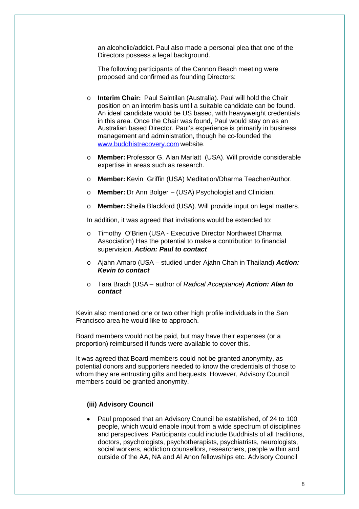an alcoholic/addict. Paul also made a personal plea that one of the Directors possess a legal background.

The following participants of the Cannon Beach meeting were proposed and confirmed as founding Directors:

- o **Interim Chair:** Paul Saintilan (Australia). Paul will hold the Chair position on an interim basis until a suitable candidate can be found. An ideal candidate would be US based, with heavyweight credentials in this area. Once the Chair was found, Paul would stay on as an Australian based Director. Paul's experience is primarily in business management and administration, though he co-founded the www.buddhistrecovery.com website.
- o **Member:** Professor G. Alan Marlatt (USA). Will provide considerable expertise in areas such as research.
- o **Member:** Kevin Griffin (USA) Meditation/Dharma Teacher/Author.
- o **Member:** Dr Ann Bolger (USA) Psychologist and Clinician.
- o **Member:** Sheila Blackford (USA). Will provide input on legal matters.

In addition, it was agreed that invitations would be extended to:

- o Timothy O'Brien (USA Executive Director Northwest Dharma Association) Has the potential to make a contribution to financial supervision. *Action: Paul to contact*
- o Ajahn Amaro (USA studied under Ajahn Chah in Thailand) *Action: Kevin to contact*
- o Tara Brach (USA author of *Radical Acceptance*) *Action: Alan to contact*

Kevin also mentioned one or two other high profile individuals in the San Francisco area he would like to approach.

Board members would not be paid, but may have their expenses (or a proportion) reimbursed if funds were available to cover this.

It was agreed that Board members could not be granted anonymity, as potential donors and supporters needed to know the credentials of those to whom they are entrusting gifts and bequests. However, Advisory Council members could be granted anonymity.

#### **(iii) Advisory Council**

 Paul proposed that an Advisory Council be established, of 24 to 100 people, which would enable input from a wide spectrum of disciplines and perspectives. Participants could include Buddhists of all traditions, doctors, psychologists, psychotherapists, psychiatrists, neurologists, social workers, addiction counsellors, researchers, people within and outside of the AA, NA and Al Anon fellowships etc. Advisory Council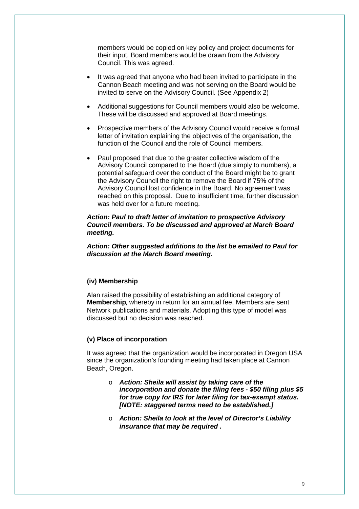members would be copied on key policy and project documents for their input. Board members would be drawn from the Advisory Council. This was agreed.

- It was agreed that anyone who had been invited to participate in the Cannon Beach meeting and was not serving on the Board would be invited to serve on the Advisory Council. (See Appendix 2)
- Additional suggestions for Council members would also be welcome. These will be discussed and approved at Board meetings.
- Prospective members of the Advisory Council would receive a formal letter of invitation explaining the objectives of the organisation, the function of the Council and the role of Council members.
- Paul proposed that due to the greater collective wisdom of the Advisory Council compared to the Board (due simply to numbers), a potential safeguard over the conduct of the Board might be to grant the Advisory Council the right to remove the Board if 75% of the Advisory Council lost confidence in the Board. No agreement was reached on this proposal. Due to insufficient time, further discussion was held over for a future meeting.

#### *Action: Paul to draft letter of invitation to prospective Advisory Council members. To be discussed and approved at March Board meeting.*

*Action: Other suggested additions to the list be emailed to Paul for discussion at the March Board meeting.*

#### **(iv) Membership**

Alan raised the possibility of establishing an additional category of **Membership**, whereby in return for an annual fee, Members are sent Network publications and materials. Adopting this type of model was discussed but no decision was reached.

#### **(v) Place of incorporation**

It was agreed that the organization would be incorporated in Oregon USA since the organization's founding meeting had taken place at Cannon Beach, Oregon.

- o *Action: Sheila will assist by taking care of the incorporation and donate the filing fees - \$50 filing plus \$5 for true copy for IRS for later filing for tax-exempt status. [NOTE: staggered terms need to be established.]*
- o *Action: Sheila to look at the level of Director's Liability insurance that may be required .*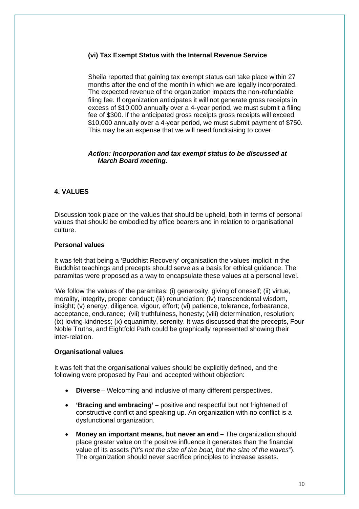## **(vi) Tax Exempt Status with the Internal Revenue Service**

Sheila reported that gaining tax exempt status can take place within 27 months after the end of the month in which we are legally incorporated. The expected revenue of the organization impacts the non-refundable filing fee. If organization anticipates it will not generate gross receipts in excess of \$10,000 annually over a 4-year period, we must submit a filing fee of \$300. If the anticipated gross receipts gross receipts will exceed \$10,000 annually over a 4-year period, we must submit payment of \$750. This may be an expense that we will need fundraising to cover.

#### *Action: Incorporation and tax exempt status to be discussed at March Board meeting.*

## **4. VALUES**

Discussion took place on the values that should be upheld, both in terms of personal values that should be embodied by office bearers and in relation to organisational culture.

#### **Personal values**

It was felt that being a 'Buddhist Recovery' organisation the values implicit in the Buddhist teachings and precepts should serve as a basis for ethical guidance. The paramitas were proposed as a way to encapsulate these values at a personal level.

'We follow the values of the paramitas: (i) generosity, giving of oneself; (ii) virtue, morality, integrity, proper conduct; (iii) renunciation; (iv) transcendental wisdom, insight; (v) energy, diligence, vigour, effort; (vi) patience, tolerance, forbearance, acceptance, endurance; (vii) truthfulness, honesty; (viii) determination, resolution; (ix) loving-kindness; (x) equanimity, serenity. It was discussed that the precepts, Four Noble Truths, and Eightfold Path could be graphically represented showing their inter-relation.

### **Organisational values**

It was felt that the organisational values should be explicitly defined, and the following were proposed by Paul and accepted without objection:

- **Diverse** Welcoming and inclusive of many different perspectives.
- **'Bracing and embracing' –** positive and respectful but not frightened of constructive conflict and speaking up. An organization with no conflict is a dysfunctional organization.
- **Money an important means, but never an end –** The organization should place greater value on the positive influence it generates than the financial value of its assets (*"it's not the size of the boat, but the size of the waves"*). The organization should never sacrifice principles to increase assets.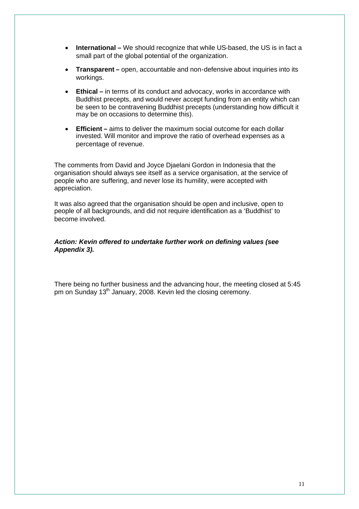- **International** We should recognize that while US-based, the US is in fact a small part of the global potential of the organization.
- **Transparent –** open, accountable and non-defensive about inquiries into its workings.
- **Ethical –** in terms of its conduct and advocacy, works in accordance with Buddhist precepts, and would never accept funding from an entity which can be seen to be contravening Buddhist precepts (understanding how difficult it may be on occasions to determine this).
- **Efficient** aims to deliver the maximum social outcome for each dollar invested. Will monitor and improve the ratio of overhead expenses as a percentage of revenue.

The comments from David and Joyce Djaelani Gordon in Indonesia that the organisation should always see itself as a service organisation, at the service of people who are suffering, and never lose its humility, were accepted with appreciation.

It was also agreed that the organisation should be open and inclusive, open to people of all backgrounds, and did not require identification as a 'Buddhist' to become involved.

### *Action: Kevin offered to undertake further work on defining values (see Appendix 3).*

There being no further business and the advancing hour, the meeting closed at 5:45 pm on Sunday 13<sup>th</sup> January, 2008. Kevin led the closing ceremony.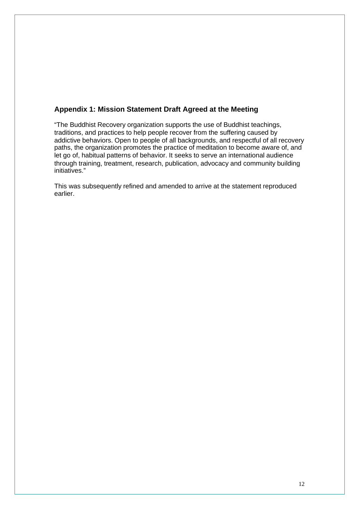## **Appendix 1: Mission Statement Draft Agreed at the Meeting**

"The Buddhist Recovery organization supports the use of Buddhist teachings, traditions, and practices to help people recover from the suffering caused by addictive behaviors. Open to people of all backgrounds, and respectful of all recovery paths, the organization promotes the practice of meditation to become aware of, and let go of, habitual patterns of behavior. It seeks to serve an international audience through training, treatment, research, publication, advocacy and community building initiatives."

This was subsequently refined and amended to arrive at the statement reproduced earlier.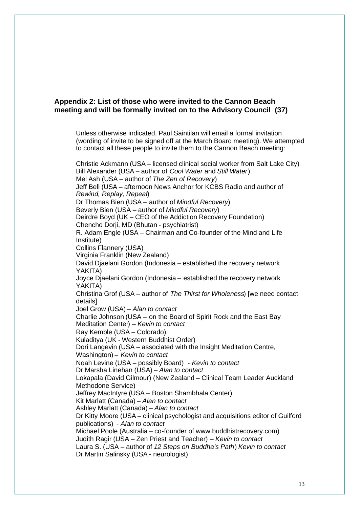## **Appendix 2: List of those who were invited to the Cannon Beach meeting and will be formally invited on to the Advisory Council (37)**

Unless otherwise indicated, Paul Saintilan will email a formal invitation (wording of invite to be signed off at the March Board meeting). We attempted to contact all these people to invite them to the Cannon Beach meeting:

Christie Ackmann (USA – licensed clinical social worker from Salt Lake City) Bill Alexander (USA – author of *Cool Water* and *Still Water*) Mel Ash (USA – author of *The Zen of Recovery*) Jeff Bell (USA – afternoon News Anchor for KCBS Radio and author of *Rewind, Replay, Repeat*) Dr Thomas Bien (USA – author of *Mindful Recovery*) Beverly Bien (USA – author of *Mindful Recovery*) Deirdre Boyd (UK – CEO of the Addiction Recovery Foundation) Chencho Dorji, MD (Bhutan - psychiatrist) R. Adam Engle (USA – Chairman and Co-founder of the Mind and Life Institute) Collins Flannery (USA) Virginia Franklin (New Zealand) David Djaelani Gordon (Indonesia – established the recovery network YAKITA) Joyce Djaelani Gordon (Indonesia – established the recovery network YAKITA) Christina Grof (USA – author of *The Thirst for Wholeness*) [we need contact details] Joel Grow (USA) – *Alan to contact* Charlie Johnson (USA – on the Board of Spirit Rock and the East Bay Meditation Center) *– Kevin to contact* Ray Kemble (USA – Colorado) Kuladitya (UK - Western Buddhist Order) Dori Langevin (USA – associated with the Insight Meditation Centre, Washington) – *Kevin to contact* Noah Levine (USA – possibly Board) - *Kevin to contact* Dr Marsha Linehan (USA) – *Alan to contact* Lokapala (David Gilmour) (New Zealand – Clinical Team Leader Auckland Methodone Service) Jeffrey MacIntyre (USA – Boston Shambhala Center) Kit Marlatt (Canada) – *Alan to contact* Ashley Marlatt (Canada) – *Alan to contact* Dr Kitty Moore (USA – clinical psychologist and acquisitions editor of Guilford publications) - *Alan to contact* Michael Poole (Australia – co-founder of www.buddhistrecovery.com) Judith Ragir (USA – Zen Priest and Teacher) – *Kevin to contact* Laura S. (USA – author of *12 Steps on Buddha's Path*) *Kevin to contact* Dr Martin Salinsky (USA - neurologist)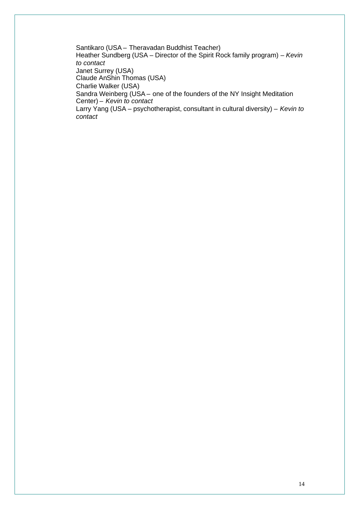Santikaro (USA – Theravadan Buddhist Teacher) Heather Sundberg (USA – Director of the Spirit Rock family program) – *Kevin to contact* Janet Surrey (USA) Claude AnShin Thomas (USA) Charlie Walker (USA) Sandra Weinberg (USA – one of the founders of the NY Insight Meditation Center) – *Kevin to contact* Larry Yang (USA – psychotherapist, consultant in cultural diversity) – *Kevin to contact*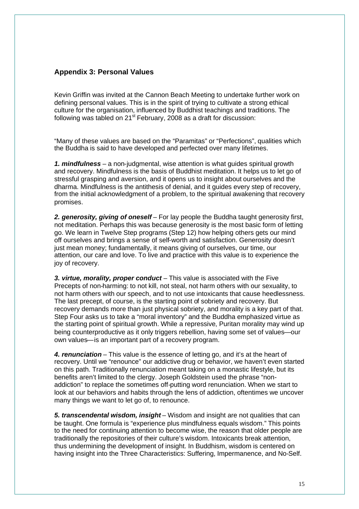## **Appendix 3: Personal Values**

Kevin Griffin was invited at the Cannon Beach Meeting to undertake further work on defining personal values. This is in the spirit of trying to cultivate a strong ethical culture for the organisation, influenced by Buddhist teachings and traditions. The following was tabled on  $21^{st}$  February, 2008 as a draft for discussion:

"Many of these values are based on the "Paramitas" or "Perfections", qualities which the Buddha is said to have developed and perfected over many lifetimes.

*1. mindfulness* – a non-judgmental, wise attention is what guides spiritual growth and recovery. Mindfulness is the basis of Buddhist meditation. It helps us to let go of stressful grasping and aversion, and it opens us to insight about ourselves and the dharma. Mindfulness is the antithesis of denial, and it guides every step of recovery, from the initial acknowledgment of a problem, to the spiritual awakening that recovery promises.

*2. generosity, giving of oneself* – For lay people the Buddha taught generosity first, not meditation. Perhaps this was because generosity is the most basic form of letting go. We learn in Twelve Step programs (Step 12) how helping others gets our mind off ourselves and brings a sense of self-worth and satisfaction. Generosity doesn't just mean money; fundamentally, it means giving of ourselves, our time, our attention, our care and love. To live and practice with this value is to experience the joy of recovery.

*3. virtue, morality, proper conduct* – This value is associated with the Five Precepts of non-harming: to not kill, not steal, not harm others with our sexuality, to not harm others with our speech, and to not use intoxicants that cause heedlessness. The last precept, of course, is the starting point of sobriety and recovery. But recovery demands more than just physical sobriety, and morality is a key part of that. Step Four asks us to take a "moral inventory" and the Buddha emphasized virtue as the starting point of spiritual growth. While a repressive, Puritan morality may wind up being counterproductive as it only triggers rebellion, having some set of values—our own values—is an important part of a recovery program.

*4. renunciation* – This value is the essence of letting go, and it's at the heart of recovery. Until we "renounce" our addictive drug or behavior, we haven't even started on this path. Traditionally renunciation meant taking on a monastic lifestyle, but its benefits aren't limited to the clergy. Joseph Goldstein used the phrase "nonaddiction" to replace the sometimes off-putting word renunciation. When we start to look at our behaviors and habits through the lens of addiction, oftentimes we uncover many things we want to let go of, to renounce.

*5. transcendental wisdom, insight* – Wisdom and insight are not qualities that can be taught. One formula is "experience plus mindfulness equals wisdom." This points to the need for continuing attention to become wise, the reason that older people are traditionally the repositories of their culture's wisdom. Intoxicants break attention, thus undermining the development of insight. In Buddhism, wisdom is centered on having insight into the Three Characteristics: Suffering, Impermanence, and No-Self.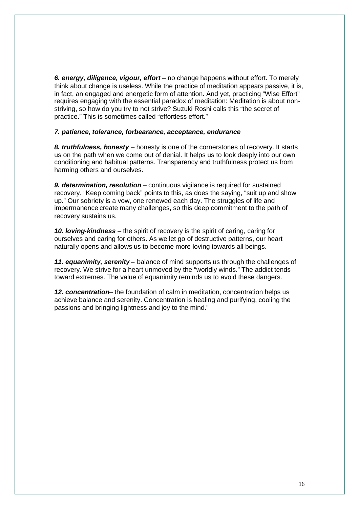*6. energy, diligence, vigour, effort* – no change happens without effort. To merely think about change is useless. While the practice of meditation appears passive, it is, in fact, an engaged and energetic form of attention. And yet, practicing "Wise Effort" requires engaging with the essential paradox of meditation: Meditation is about nonstriving, so how do you try to not strive? Suzuki Roshi calls this "the secret of practice." This is sometimes called "effortless effort."

#### *7. patience, tolerance, forbearance, acceptance, endurance*

*8. truthfulness, honesty* – honesty is one of the cornerstones of recovery. It starts us on the path when we come out of denial. It helps us to look deeply into our own conditioning and habitual patterns. Transparency and truthfulness protect us from harming others and ourselves.

**9. determination, resolution** – continuous vigilance is required for sustained recovery. "Keep coming back" points to this, as does the saying, "suit up and show up." Our sobriety is a vow, one renewed each day. The struggles of life and impermanence create many challenges, so this deep commitment to the path of recovery sustains us.

*10. loving-kindness* – the spirit of recovery is the spirit of caring, caring for ourselves and caring for others. As we let go of destructive patterns, our heart naturally opens and allows us to become more loving towards all beings.

*11. equanimity, serenity* – balance of mind supports us through the challenges of recovery. We strive for a heart unmoved by the "worldly winds." The addict tends toward extremes. The value of equanimity reminds us to avoid these dangers.

*12. concentration*– the foundation of calm in meditation, concentration helps us achieve balance and serenity. Concentration is healing and purifying, cooling the passions and bringing lightness and joy to the mind."